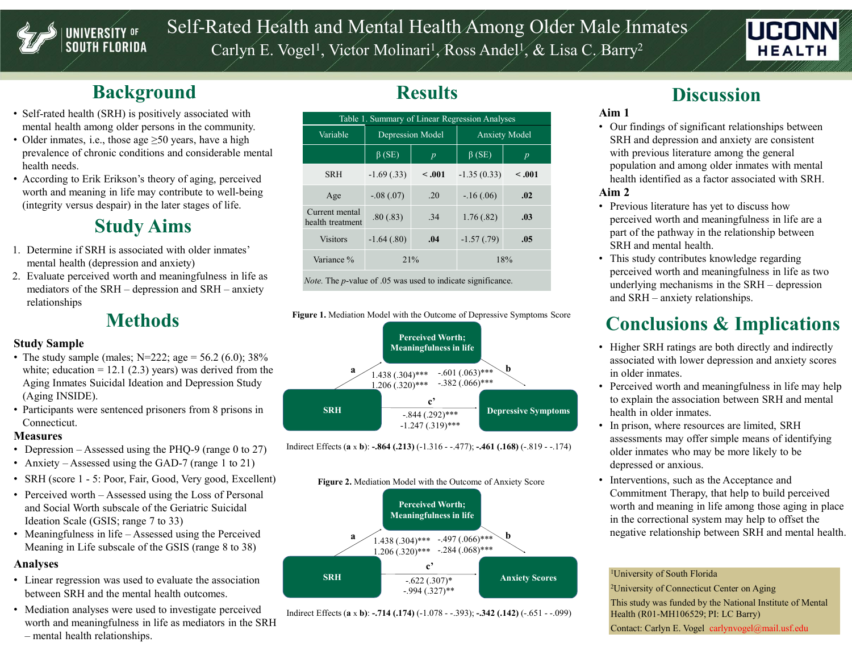

# Self-Rated Health and Mental Health Among Older Male Inmates Rated Health and Mental Health Among Older Mal<br>Carlyn E. Vogel<sup>1</sup>, Victor Molinari<sup>1</sup>, Ross Andel<sup>y</sup>, & Lisa C<sub>2</sub>B<br>Results , Victor Molinari<sup>1</sup>, Ross Andel<sup>1</sup>, & Lisa C, Barry<sup>2</sup> / / / **HEALT**



# **Background**

- Self-rated health (SRH) is positively associated with mental health among older persons in the community.
- Older inmates, i.e., those age  $\geq 50$  years, have a high prevalence of chronic conditions and considerable mental health needs.
- According to Erik Erikson's theory of aging, perceived worth and meaning in life may contribute to well-being (integrity versus despair) in the later stages of life.

## Study Aims

- mental health (depression and anxiety)
- relationships

### **Methods**

### Study Sample

- The study sample (males;  $N=222$ ; age = 56.2 (6.0); 38% white; education  $= 12.1$  (2.3) years) was derived from the Aging Inmates Suicidal Ideation and Depression Study (Aging INSIDE).
- Participants were sentenced prisoners from 8 prisons in SRH Connecticut.

### **Measures**

- 
- 
- 
- and Social Worth subscale of the Geriatric Suicidal Ideation Scale (GSIS; range 7 to 33)
- Meaning in Life subscale of the GSIS (range 8 to 38)

### Analyses

- Linear regression was used to evaluate the association between SRH and the mental health outcomes.
- Mediation analyses were used to investigate perceived<br>Indirect Effects (a x b): -.714 (.174) (-1.078 -.393); -.342 (.142) (-.651 -.099) worth and meaningfulness in life as mediators in the SRH

# **Results**

| <b>UNIVERSITY OF</b><br><b>SOUTH FLORIDA</b>                                                                                   |                                                                         |                  |                                                          |                                                |                  | Self-Rated Health and Mental Health Among Older Male Inmates                                                                           |  |
|--------------------------------------------------------------------------------------------------------------------------------|-------------------------------------------------------------------------|------------------|----------------------------------------------------------|------------------------------------------------|------------------|----------------------------------------------------------------------------------------------------------------------------------------|--|
|                                                                                                                                |                                                                         |                  |                                                          |                                                |                  | Carlyn E. Vogel <sup>1</sup> , Victor Molinari <sup>1</sup> , Ross Andel <sup>1</sup> , & Lisa C. Barry <sup>2</sup><br><b>HEALTH</b>  |  |
| <b>Background</b>                                                                                                              |                                                                         |                  | <b>Results</b>                                           |                                                |                  | <b>Discussion</b>                                                                                                                      |  |
| Self-rated health (SRH) is positively associated with                                                                          |                                                                         |                  |                                                          | Table 1. Summary of Linear Regression Analyses |                  | Aim 1                                                                                                                                  |  |
| mental health among older persons in the community.<br>Older inmates, i.e., those age $\geq 50$ years, have a high             | Variable                                                                | Depression Model |                                                          | <b>Anxiety Model</b>                           |                  | • Our findings of significant relationships between<br>SRH and depression and anxiety are consistent                                   |  |
| prevalence of chronic conditions and considerable mental                                                                       |                                                                         | $\beta$ (SE)     | $\overline{p}$                                           | $\beta$ (SE)                                   | $\boldsymbol{p}$ | with previous literature among the general                                                                                             |  |
| health needs.<br>According to Erik Erikson's theory of aging, perceived                                                        | <b>SRH</b>                                                              | $-1.69(0.33)$    | < .001                                                   | $-1.35(0.33)$                                  | < .001           | population and among older inmates with mental<br>health identified as a factor associated with SRH.                                   |  |
| worth and meaning in life may contribute to well-being                                                                         | Age                                                                     | $-.08(.07)$      | .20                                                      | $-.16(.06)$                                    | .02              | Aim 2                                                                                                                                  |  |
| (integrity versus despair) in the later stages of life.                                                                        | Current mental<br>health treatment                                      | .80(.83)         | .34                                                      | 1.76(.82)                                      | .03              | • Previous literature has yet to discuss how<br>perceived worth and meaningfulness in life are a                                       |  |
| <b>Study Aims</b>                                                                                                              | <b>Visitors</b>                                                         | $-1.64(0.80)$    | .04                                                      | $-1.57(0.79)$                                  | .05              | part of the pathway in the relationship between<br>SRH and mental health.                                                              |  |
| 1. Determine if SRH is associated with older inmates'<br>mental health (depression and anxiety)                                | Variance %                                                              | 21%              |                                                          | 18%                                            |                  | • This study contributes knowledge regarding                                                                                           |  |
| Evaluate perceived worth and meaningfulness in life as<br>mediators of the SRH - depression and SRH - anxiety<br>relationships | <i>Note.</i> The $p$ -value of .05 was used to indicate significance.   |                  |                                                          |                                                |                  | perceived worth and meaningfulness in life as two<br>underlying mechanisms in the SRH - depression<br>and SRH - anxiety relationships. |  |
| <b>Methods</b>                                                                                                                 | Figure 1. Mediation Model with the Outcome of Depressive Symptoms Score |                  |                                                          |                                                |                  | <b>Conclusions &amp; Implications</b>                                                                                                  |  |
| <b>Study Sample</b><br>• The study sample (males; N=222; age = 56.2 (6.0); 38%                                                 |                                                                         |                  | <b>Perceived Worth;</b><br><b>Meaningfulness in life</b> |                                                |                  | • Higher SRH ratings are both directly and indirectly<br>associated with lower depression and anxiety scores                           |  |





# **Discussion**

### Aim 1

- $\beta$  (SE)  $\beta$  (SE)  $\beta$  (SE) p with previous literature among the general • Our findings of significant relationships between SRH and depression and anxiety are consistent population and among older inmates with mental health identified as a factor associated with SRH. Aim 2 **EXECTS AND THE SALL ASSEM SET AND THE SALL ASSEM AND CONTAINMARY CONTINUIS SET AND SERIES AND SERIES AND SERIES AND SERIES AND SERIES A THE DEVIDEND SERIES AND PROVIDENCE THE DEVIDEND AND previous literature has yet to di EXECT MANUTE CONSTRANT CONSTRANT CONSTRANT DEAL AND DESCRIBED TO DETERMINE THE ALTH WARD STRI and depression and anxiety are consistent with previous literature among the general population and among older immates with me** 
	- Previous literature has yet to discuss how perceived worth and meaningfulness in life are a part of the pathway in the relationship between SRH and mental health.
	- This study contributes knowledge regarding perceived worth and meaningfulness in life as two

# Conclusions & Implications

- Higher SRH ratings are both directly and indirectly associated with lower depression and anxiety scores in older inmates.
- -.382 (.066)\*\*\* Perceived worth and meaningfulness in life may help to explain the association between SRH and mental health in older inmates.
	- In prison, where resources are limited, SRH assessments may offer simple means of identifying older inmates who may be more likely to be depressed or anxious.
	- Interventions, such as the Acceptance and Commitment Therapy, that help to build perceived worth and meaning in life among those aging in place in the correctional system may help to offset the negative relationship between SRH and mental health.

### 1University of South Florida

2University of Connecticut Center on Aging This study was funded by the National Institute of Mental Health (R01-MH106529; PI: LC Barry) Contact: Carlyn E. Vogel carlynvogel@mail.usf.edu